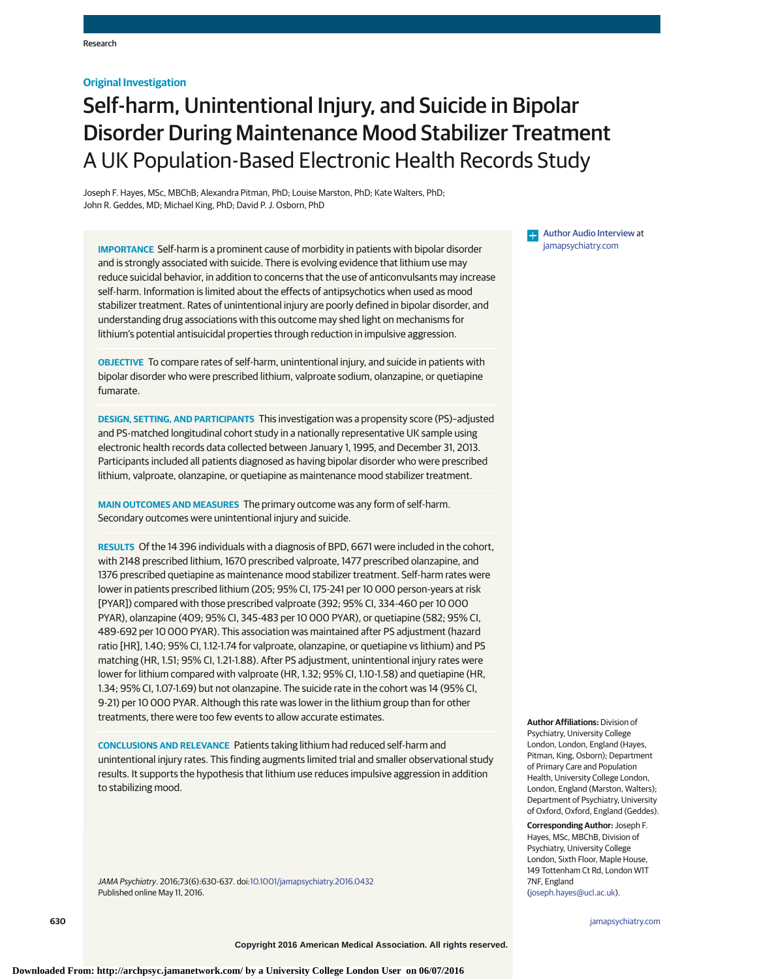## **Original Investigation**

# Self-harm, Unintentional Injury, and Suicide in Bipolar Disorder During Maintenance Mood Stabilizer Treatment A UK Population-Based Electronic Health Records Study

Joseph F. Hayes, MSc, MBChB; Alexandra Pitman, PhD; Louise Marston, PhD; Kate Walters, PhD; John R. Geddes, MD; Michael King, PhD; David P. J. Osborn, PhD

**IMPORTANCE** Self-harm is a prominent cause of morbidity in patients with bipolar disorder and is strongly associated with suicide. There is evolving evidence that lithium use may reduce suicidal behavior, in addition to concerns that the use of anticonvulsants may increase self-harm. Information is limited about the effects of antipsychotics when used as mood stabilizer treatment. Rates of unintentional injury are poorly defined in bipolar disorder, and understanding drug associations with this outcome may shed light on mechanisms for lithium's potential antisuicidal properties through reduction in impulsive aggression.

**OBJECTIVE** To compare rates of self-harm, unintentional injury, and suicide in patients with bipolar disorder who were prescribed lithium, valproate sodium, olanzapine, or quetiapine fumarate.

**DESIGN, SETTING, AND PARTICIPANTS** This investigation was a propensity score (PS)–adjusted and PS-matched longitudinal cohort study in a nationally representative UK sample using electronic health records data collected between January 1, 1995, and December 31, 2013. Participants included all patients diagnosed as having bipolar disorder who were prescribed lithium, valproate, olanzapine, or quetiapine as maintenance mood stabilizer treatment.

**MAIN OUTCOMES AND MEASURES** The primary outcome was any form of self-harm. Secondary outcomes were unintentional injury and suicide.

**RESULTS** Of the 14 396 individuals with a diagnosis of BPD, 6671 were included in the cohort, with 2148 prescribed lithium, 1670 prescribed valproate, 1477 prescribed olanzapine, and 1376 prescribed quetiapine as maintenance mood stabilizer treatment. Self-harm rates were lower in patients prescribed lithium (205; 95% CI, 175-241 per 10 000 person-years at risk [PYAR]) compared with those prescribed valproate (392; 95% CI, 334-460 per 10 000 PYAR), olanzapine (409; 95% CI, 345-483 per 10 000 PYAR), or quetiapine (582; 95% CI, 489-692 per 10 000 PYAR). This association was maintained after PS adjustment (hazard ratio [HR], 1.40; 95% CI, 1.12-1.74 for valproate, olanzapine, or quetiapine vs lithium) and PS matching (HR, 1.51; 95% CI, 1.21-1.88). After PS adjustment, unintentional injury rates were lower for lithium compared with valproate (HR, 1.32; 95% CI, 1.10-1.58) and quetiapine (HR, 1.34; 95% CI, 1.07-1.69) but not olanzapine. The suicide rate in the cohort was 14 (95% CI, 9-21) per 10 000 PYAR. Although this rate was lower in the lithium group than for other treatments, there were too few events to allow accurate estimates.

**CONCLUSIONS AND RELEVANCE** Patients taking lithium had reduced self-harm and unintentional injury rates. This finding augments limited trial and smaller observational study results. It supports the hypothesis that lithium use reduces impulsive aggression in addition to stabilizing mood.

JAMA Psychiatry. 2016;73(6):630-637. doi[:10.1001/jamapsychiatry.2016.0432](http://jama.jamanetwork.com/article.aspx?doi=10.1001/jamapsychiatry.2016.0432&utm_campaign=articlePDF%26utm_medium=articlePDFlink%26utm_source=articlePDF%26utm_content=jamapsychiatry.2016.0432) Published online May 11, 2016.

**[Author Audio Interview](http://jama.jamanetwork.com/article.aspx?doi=10.1001/jamapsychiatry.2016.0432&utm_campaign=articlePDF%26utm_medium=articlePDFlink%26utm_source=articlePDF%26utm_content=jamapsychiatry.2016.0432) at** [jamapsychiatry.com](http://www.jamapsychiatry.com/?utm_campaign=articlePDF%26utm_medium=articlePDFlink%26utm_source=articlePDF%26utm_content=jamapsychiatry.2016.0432)

**Author Affiliations:** Division of Psychiatry, University College London, London, England (Hayes, Pitman, King, Osborn); Department of Primary Care and Population Health, University College London, London, England (Marston, Walters); Department of Psychiatry, University of Oxford, Oxford, England (Geddes).

**Corresponding Author:** Joseph F. Hayes, MSc, MBChB, Division of Psychiatry, University College London, Sixth Floor, Maple House, 149 Tottenham Ct Rd, London W1T 7NF, England [\(joseph.hayes@ucl.ac.uk\)](mailto:joseph.hayes@ucl.ac.uk).

**630 (Reprinted)** [jamapsychiatry.com](http://www.jamapsychiatry.com/?utm_campaign=articlePDF%26utm_medium=articlePDFlink%26utm_source=articlePDF%26utm_content=jamapsychiatry.2016.0432)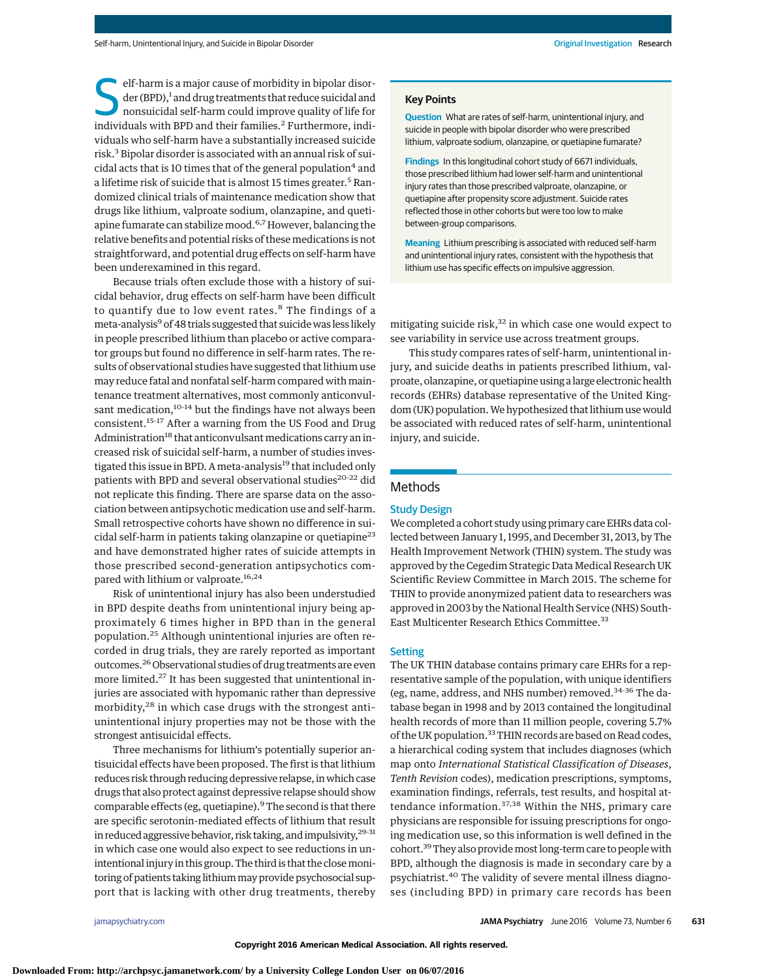elf-harm is a major cause of morbidity in bipolar disor-<br>der (BPD),<sup>1</sup> and drug treatments that reduce suicidal and<br>nonsuicidal self-harm could improve quality of life for<br>individuals with PPD and their families <sup>2</sup> Eurthe der (BPD),<sup>1</sup> and drug treatments that reduce suicidal and individuals with BPD and their families.<sup>2</sup> Furthermore, individuals who self-harm have a substantially increased suicide risk.<sup>3</sup> Bipolar disorder is associated with an annual risk of suicidal acts that is 10 times that of the general population $4$  and a lifetime risk of suicide that is almost 15 times greater.<sup>5</sup> Randomized clinical trials of maintenance medication show that drugs like lithium, valproate sodium, olanzapine, and quetiapine fumarate can stabilize mood.6,7However, balancing the relative benefits and potential risks of these medications is not straightforward, and potential drug effects on self-harm have been underexamined in this regard.

Because trials often exclude those with a history of suicidal behavior, drug effects on self-harm have been difficult to quantify due to low event rates.<sup>8</sup> The findings of a meta-analysis<sup>9</sup> of 48 trials suggested that suicide was less likely in people prescribed lithium than placebo or active comparator groups but found no difference in self-harm rates. The results of observational studies have suggested that lithium use may reduce fatal and nonfatal self-harm compared with maintenance treatment alternatives, most commonly anticonvulsant medication,<sup>10-14</sup> but the findings have not always been consistent.15-17 After a warning from the US Food and Drug Administration<sup>18</sup> that anticonvulsant medications carry an increased risk of suicidal self-harm, a number of studies investigated this issue in BPD. A meta-analysis<sup>19</sup> that included only patients with BPD and several observational studies<sup>20-22</sup> did not replicate this finding. There are sparse data on the association between antipsychotic medication use and self-harm. Small retrospective cohorts have shown no difference in suicidal self-harm in patients taking olanzapine or quetiapine<sup>23</sup> and have demonstrated higher rates of suicide attempts in those prescribed second-generation antipsychotics compared with lithium or valproate.<sup>16,24</sup>

Risk of unintentional injury has also been understudied in BPD despite deaths from unintentional injury being approximately 6 times higher in BPD than in the general population.<sup>25</sup> Although unintentional injuries are often recorded in drug trials, they are rarely reported as important outcomes.<sup>26</sup> Observational studies of drug treatments are even more limited.<sup>27</sup> It has been suggested that unintentional injuries are associated with hypomanic rather than depressive morbidity,<sup>28</sup> in which case drugs with the strongest antiunintentional injury properties may not be those with the strongest antisuicidal effects.

Three mechanisms for lithium's potentially superior antisuicidal effects have been proposed. The first is that lithium reduces risk through reducing depressive relapse, inwhich case drugs that also protect against depressive relapse should show comparable effects (eg, quetiapine).<sup>9</sup> The second is that there are specific serotonin-mediated effects of lithium that result in reduced aggressive behavior, risk taking, and impulsivity, <sup>29-31</sup> in which case one would also expect to see reductions in unintentional injury in this group. The third is that the closemonitoring of patients taking lithium may provide psychosocial support that is lacking with other drug treatments, thereby

#### **Key Points**

**Question** What are rates of self-harm, unintentional injury, and suicide in people with bipolar disorder who were prescribed lithium, valproate sodium, olanzapine, or quetiapine fumarate?

**Findings** In this longitudinal cohort study of 6671 individuals, those prescribed lithium had lower self-harm and unintentional injury rates than those prescribed valproate, olanzapine, or quetiapine after propensity score adjustment. Suicide rates reflected those in other cohorts but were too low to make between-group comparisons.

**Meaning** Lithium prescribing is associated with reduced self-harm and unintentional injury rates, consistent with the hypothesis that lithium use has specific effects on impulsive aggression.

mitigating suicide risk, $32$  in which case one would expect to see variability in service use across treatment groups.

This study compares rates of self-harm, unintentional injury, and suicide deaths in patients prescribed lithium, valproate, olanzapine, or quetiapine using a large electronic health records (EHRs) database representative of the United Kingdom (UK) population.We hypothesized that lithium use would be associated with reduced rates of self-harm, unintentional injury, and suicide.

## Methods

#### Study Design

We completed a cohort study using primary care EHRs data collected between January 1, 1995, and December 31, 2013, by The Health Improvement Network (THIN) system. The study was approved by the Cegedim Strategic Data Medical Research UK Scientific Review Committee in March 2015. The scheme for THIN to provide anonymized patient data to researchers was approved in 2003 by the National Health Service (NHS) South-East Multicenter Research Ethics Committee.<sup>33</sup>

#### **Setting**

The UK THIN database contains primary care EHRs for a representative sample of the population, with unique identifiers (eg, name, address, and NHS number) removed.34-36 The database began in 1998 and by 2013 contained the longitudinal health records of more than 11 million people, covering 5.7% of the UK population.<sup>33</sup> THIN records are based on Read codes, a hierarchical coding system that includes diagnoses (which map onto *International Statistical Classification of Diseases*, *Tenth Revision* codes), medication prescriptions, symptoms, examination findings, referrals, test results, and hospital attendance information.37,38 Within the NHS, primary care physicians are responsible for issuing prescriptions for ongoing medication use, so this information is well defined in the cohort.<sup>39</sup> They also provide most long-term care to people with BPD, although the diagnosis is made in secondary care by a psychiatrist.<sup>40</sup> The validity of severe mental illness diagnoses (including BPD) in primary care records has been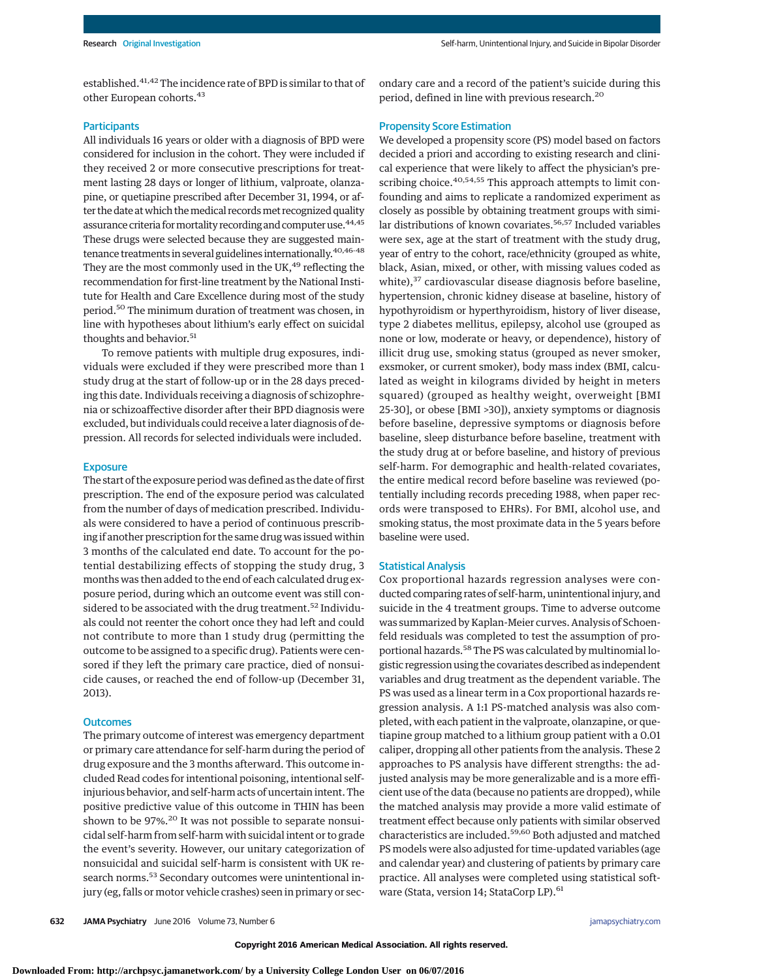established.<sup>41,42</sup> The incidence rate of BPD is similar to that of other European cohorts.<sup>43</sup>

## **Participants**

All individuals 16 years or older with a diagnosis of BPD were considered for inclusion in the cohort. They were included if they received 2 or more consecutive prescriptions for treatment lasting 28 days or longer of lithium, valproate, olanzapine, or quetiapine prescribed after December 31, 1994, or after the date at which the medical records met recognized quality assurance criteria for mortality recording and computer use.<sup>44,45</sup> These drugs were selected because they are suggested maintenance treatments in several guidelines internationally.<sup>40,46-48</sup> They are the most commonly used in the UK,<sup>49</sup> reflecting the recommendation for first-line treatment by the National Institute for Health and Care Excellence during most of the study period.50 The minimum duration of treatment was chosen, in line with hypotheses about lithium's early effect on suicidal thoughts and behavior.<sup>51</sup>

To remove patients with multiple drug exposures, individuals were excluded if they were prescribed more than 1 study drug at the start of follow-up or in the 28 days preceding this date. Individuals receiving a diagnosis of schizophrenia or schizoaffective disorder after their BPD diagnosis were excluded, but individuals could receive a later diagnosis of depression. All records for selected individuals were included.

## **Exposure**

The start of the exposure period was defined as the date of first prescription. The end of the exposure period was calculated from the number of days of medication prescribed. Individuals were considered to have a period of continuous prescribing if another prescription for the same drug was issued within 3 months of the calculated end date. To account for the potential destabilizing effects of stopping the study drug, 3 months was then added to the end of each calculated drug exposure period, during which an outcome event was still considered to be associated with the drug treatment.<sup>52</sup> Individuals could not reenter the cohort once they had left and could not contribute to more than 1 study drug (permitting the outcome to be assigned to a specific drug). Patients were censored if they left the primary care practice, died of nonsuicide causes, or reached the end of follow-up (December 31, 2013).

#### **Outcomes**

The primary outcome of interest was emergency department or primary care attendance for self-harm during the period of drug exposure and the 3 months afterward. This outcome included Read codes for intentional poisoning, intentional selfinjurious behavior, and self-harm acts of uncertain intent. The positive predictive value of this outcome in THIN has been shown to be 97%.<sup>20</sup> It was not possible to separate nonsuicidal self-harm from self-harm with suicidal intent or to grade the event's severity. However, our unitary categorization of nonsuicidal and suicidal self-harm is consistent with UK research norms.<sup>53</sup> Secondary outcomes were unintentional injury (eg, falls or motor vehicle crashes) seen in primary or secondary care and a record of the patient's suicide during this period, defined in line with previous research.<sup>20</sup>

#### Propensity Score Estimation

We developed a propensity score (PS) model based on factors decided a priori and according to existing research and clinical experience that were likely to affect the physician's prescribing choice.<sup>40,54,55</sup> This approach attempts to limit confounding and aims to replicate a randomized experiment as closely as possible by obtaining treatment groups with similar distributions of known covariates.<sup>56,57</sup> Included variables were sex, age at the start of treatment with the study drug, year of entry to the cohort, race/ethnicity (grouped as white, black, Asian, mixed, or other, with missing values coded as white),<sup>37</sup> cardiovascular disease diagnosis before baseline, hypertension, chronic kidney disease at baseline, history of hypothyroidism or hyperthyroidism, history of liver disease, type 2 diabetes mellitus, epilepsy, alcohol use (grouped as none or low, moderate or heavy, or dependence), history of illicit drug use, smoking status (grouped as never smoker, exsmoker, or current smoker), body mass index (BMI, calculated as weight in kilograms divided by height in meters squared) (grouped as healthy weight, overweight [BMI 25-30], or obese [BMI >30]), anxiety symptoms or diagnosis before baseline, depressive symptoms or diagnosis before baseline, sleep disturbance before baseline, treatment with the study drug at or before baseline, and history of previous self-harm. For demographic and health-related covariates, the entire medical record before baseline was reviewed (potentially including records preceding 1988, when paper records were transposed to EHRs). For BMI, alcohol use, and smoking status, the most proximate data in the 5 years before baseline were used.

#### Statistical Analysis

Cox proportional hazards regression analyses were conducted comparing rates of self-harm, unintentional injury, and suicide in the 4 treatment groups. Time to adverse outcome was summarized by Kaplan-Meier curves. Analysis of Schoenfeld residuals was completed to test the assumption of proportional hazards.<sup>58</sup> The PS was calculated by multinomial logistic regression using the covariates described as independent variables and drug treatment as the dependent variable. The PS was used as a linear term in a Cox proportional hazards regression analysis. A 1:1 PS-matched analysis was also completed, with each patient in the valproate, olanzapine, or quetiapine group matched to a lithium group patient with a 0.01 caliper, dropping all other patients from the analysis. These 2 approaches to PS analysis have different strengths: the adjusted analysis may be more generalizable and is a more efficient use of the data (because no patients are dropped), while the matched analysis may provide a more valid estimate of treatment effect because only patients with similar observed characteristics are included.59,60 Both adjusted and matched PS models were also adjusted for time-updated variables (age and calendar year) and clustering of patients by primary care practice. All analyses were completed using statistical software (Stata, version 14; StataCorp LP).<sup>61</sup>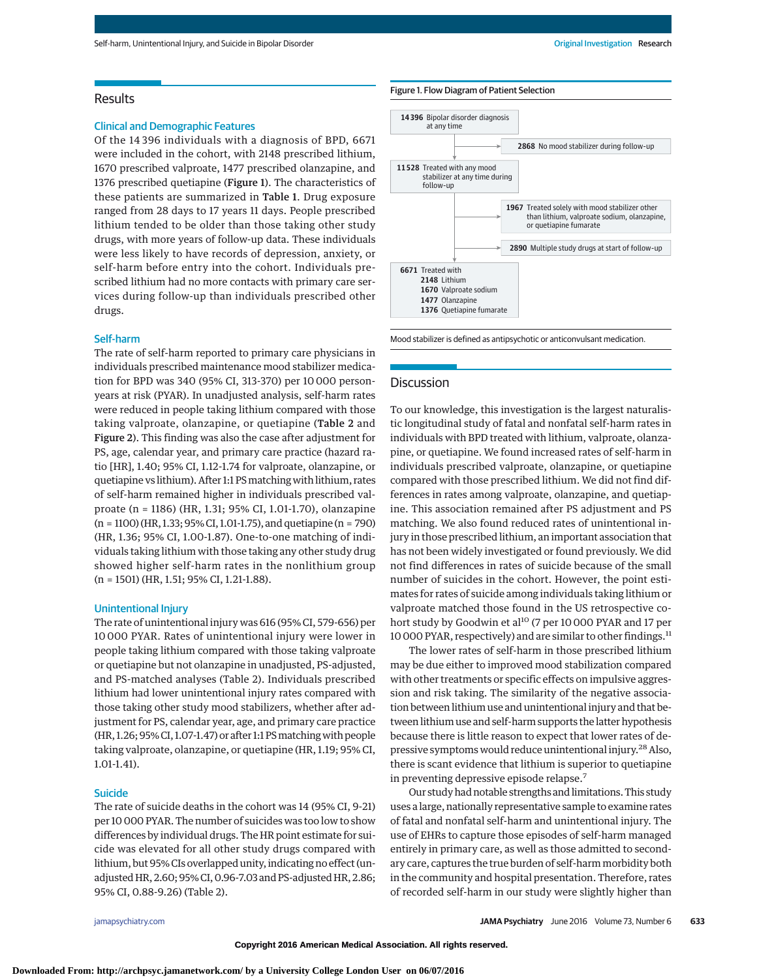## Results

#### Clinical and Demographic Features

Of the 14 396 individuals with a diagnosis of BPD, 6671 were included in the cohort, with 2148 prescribed lithium, 1670 prescribed valproate, 1477 prescribed olanzapine, and 1376 prescribed quetiapine (Figure 1). The characteristics of these patients are summarized in Table 1. Drug exposure ranged from 28 days to 17 years 11 days. People prescribed lithium tended to be older than those taking other study drugs, with more years of follow-up data. These individuals were less likely to have records of depression, anxiety, or self-harm before entry into the cohort. Individuals prescribed lithium had no more contacts with primary care services during follow-up than individuals prescribed other drugs.

### Self-harm

The rate of self-harm reported to primary care physicians in individuals prescribed maintenance mood stabilizer medication for BPD was 340 (95% CI, 313-370) per 10 000 personyears at risk (PYAR). In unadjusted analysis, self-harm rates were reduced in people taking lithium compared with those taking valproate, olanzapine, or quetiapine (Table 2 and Figure 2). This finding was also the case after adjustment for PS, age, calendar year, and primary care practice (hazard ratio [HR], 1.40; 95% CI, 1.12-1.74 for valproate, olanzapine, or quetiapine vs lithium). After 1:1 PS matching with lithium, rates of self-harm remained higher in individuals prescribed valproate (n = 1186) (HR, 1.31; 95% CI, 1.01-1.70), olanzapine (n = 1100) (HR, 1.33; 95% CI, 1.01-1.75), and quetiapine (n = 790) (HR, 1.36; 95% CI, 1.00-1.87). One-to-one matching of individuals taking lithium with those taking any other study drug showed higher self-harm rates in the nonlithium group (n = 1501) (HR, 1.51; 95% CI, 1.21-1.88).

#### Unintentional Injury

The rate of unintentional injury was 616 (95% CI, 579-656) per 10 000 PYAR. Rates of unintentional injury were lower in people taking lithium compared with those taking valproate or quetiapine but not olanzapine in unadjusted, PS-adjusted, and PS-matched analyses (Table 2). Individuals prescribed lithium had lower unintentional injury rates compared with those taking other study mood stabilizers, whether after adjustment for PS, calendar year, age, and primary care practice (HR, 1.26; 95% CI, 1.07-1.47) or after 1:1 PS matching with people taking valproate, olanzapine, or quetiapine (HR, 1.19; 95% CI, 1.01-1.41).

## Suicide

The rate of suicide deaths in the cohort was 14 (95% CI, 9-21) per 10 000 PYAR. The number of suicides was too low to show differences by individual drugs. The HR point estimate for suicide was elevated for all other study drugs compared with lithium, but 95% CIs overlapped unity, indicating no effect (unadjusted HR, 2.60; 95% CI, 0.96-7.03 and PS-adjusted HR, 2.86; 95% CI, 0.88-9.26) (Table 2).

Mood stabilizer is defined as antipsychotic or anticonvulsant medication.

#### **Discussion**

To our knowledge, this investigation is the largest naturalistic longitudinal study of fatal and nonfatal self-harm rates in individuals with BPD treated with lithium, valproate, olanzapine, or quetiapine. We found increased rates of self-harm in individuals prescribed valproate, olanzapine, or quetiapine compared with those prescribed lithium. We did not find differences in rates among valproate, olanzapine, and quetiapine. This association remained after PS adjustment and PS matching. We also found reduced rates of unintentional injury in those prescribed lithium, an important association that has not been widely investigated or found previously. We did not find differences in rates of suicide because of the small number of suicides in the cohort. However, the point estimates for rates of suicide among individuals taking lithium or valproate matched those found in the US retrospective cohort study by Goodwin et al<sup>10</sup> (7 per 10 000 PYAR and 17 per 10 000 PYAR, respectively) and are similar to other findings.<sup>11</sup>

The lower rates of self-harm in those prescribed lithium may be due either to improved mood stabilization compared with other treatments or specific effects on impulsive aggression and risk taking. The similarity of the negative association between lithium use and unintentional injury and that between lithium use and self-harm supports the latter hypothesis because there is little reason to expect that lower rates of depressive symptoms would reduce unintentional injury.28 Also, there is scant evidence that lithium is superior to quetiapine in preventing depressive episode relapse.<sup>7</sup>

Our study had notable strengths and limitations. This study uses a large, nationally representative sample to examine rates of fatal and nonfatal self-harm and unintentional injury. The use of EHRs to capture those episodes of self-harm managed entirely in primary care, as well as those admitted to secondary care, captures the true burden of self-harm morbidity both in the community and hospital presentation. Therefore, rates of recorded self-harm in our study were slightly higher than

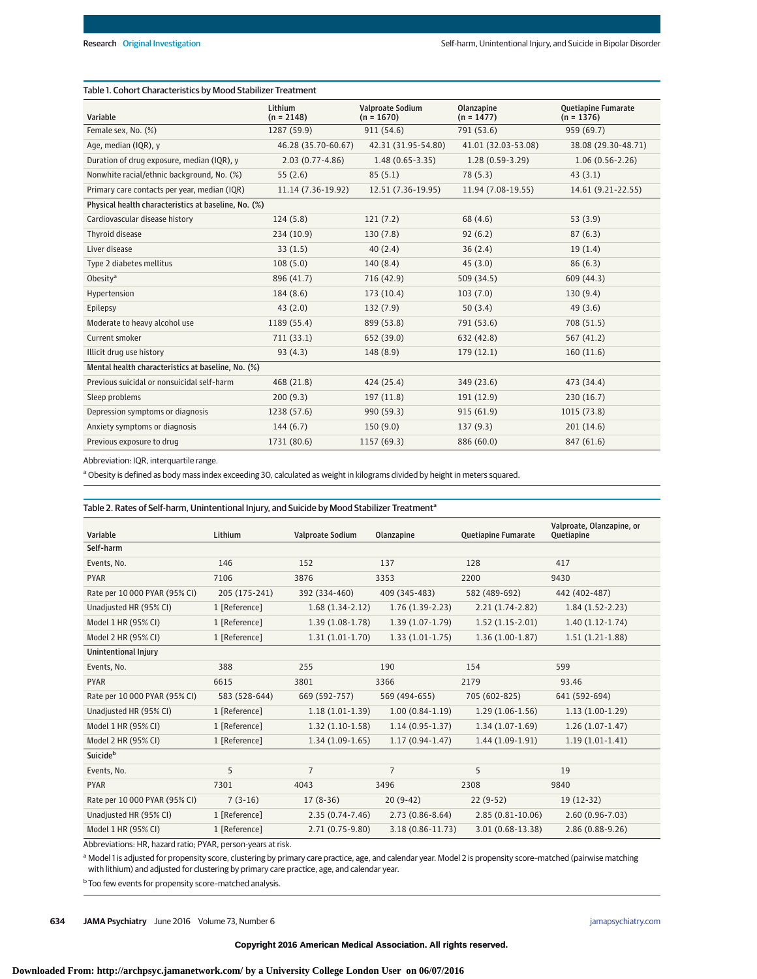| Table 1. Cohort Characteristics by Mood Stabilizer Treatment |                         |                                         |                                   |                                     |  |  |  |  |
|--------------------------------------------------------------|-------------------------|-----------------------------------------|-----------------------------------|-------------------------------------|--|--|--|--|
| Variable                                                     | Lithium<br>$(n = 2148)$ | <b>Valproate Sodium</b><br>$(n = 1670)$ | <b>Olanzapine</b><br>$(n = 1477)$ | Quetiapine Fumarate<br>$(n = 1376)$ |  |  |  |  |
| Female sex, No. (%)                                          | 1287 (59.9)             | 911 (54.6)                              | 791 (53.6)                        | 959 (69.7)                          |  |  |  |  |
| Age, median (IQR), y                                         | 46.28 (35.70-60.67)     | 42.31 (31.95-54.80)                     | 41.01 (32.03-53.08)               | 38.08 (29.30-48.71)                 |  |  |  |  |
| Duration of drug exposure, median (IQR), y                   | $2.03(0.77-4.86)$       | $1.48(0.65-3.35)$                       | $1.28(0.59-3.29)$                 | $1.06(0.56 - 2.26)$                 |  |  |  |  |
| Nonwhite racial/ethnic background, No. (%)                   | 55(2.6)                 | 85(5.1)                                 | 78 (5.3)                          | 43(3.1)                             |  |  |  |  |
| Primary care contacts per year, median (IQR)                 | 11.14 (7.36-19.92)      | 12.51 (7.36-19.95)                      | 11.94 (7.08-19.55)                | 14.61 (9.21-22.55)                  |  |  |  |  |
| Physical health characteristics at baseline, No. (%)         |                         |                                         |                                   |                                     |  |  |  |  |
| Cardiovascular disease history                               | 124(5.8)                | 121(7.2)                                | 68 (4.6)                          | 53(3.9)                             |  |  |  |  |
| Thyroid disease                                              | 234 (10.9)              | 130(7.8)                                | 92(6.2)                           | 87(6.3)                             |  |  |  |  |
| Liver disease                                                | 33(1.5)                 | 40(2.4)                                 | 36(2.4)                           | 19(1.4)                             |  |  |  |  |
| Type 2 diabetes mellitus                                     | 108(5.0)                | 140(8.4)                                | 45(3.0)                           | 86(6.3)                             |  |  |  |  |
| Obesity <sup>a</sup>                                         | 896 (41.7)              | 716 (42.9)                              | 509 (34.5)                        | 609 (44.3)                          |  |  |  |  |
| Hypertension                                                 | 184(8.6)                | 173(10.4)                               | 103(7.0)                          | 130(9.4)                            |  |  |  |  |
| Epilepsy                                                     | 43(2.0)                 | 132(7.9)                                | 50(3.4)                           | 49(3.6)                             |  |  |  |  |
| Moderate to heavy alcohol use                                | 1189 (55.4)             | 899 (53.8)                              | 791 (53.6)                        | 708 (51.5)                          |  |  |  |  |
| Current smoker                                               | 711 (33.1)              | 652 (39.0)                              | 632 (42.8)                        | 567 (41.2)                          |  |  |  |  |
| Illicit drug use history                                     | 93(4.3)                 | 148 (8.9)                               | 179(12.1)                         | 160(11.6)                           |  |  |  |  |
| Mental health characteristics at baseline, No. (%)           |                         |                                         |                                   |                                     |  |  |  |  |
| Previous suicidal or nonsuicidal self-harm                   | 468 (21.8)              | 424 (25.4)                              | 349 (23.6)                        | 473 (34.4)                          |  |  |  |  |
| Sleep problems                                               | 200(9.3)                | 197(11.8)                               | 191 (12.9)                        | 230(16.7)                           |  |  |  |  |
| Depression symptoms or diagnosis                             | 1238 (57.6)             | 990 (59.3)                              | 915(61.9)                         | 1015 (73.8)                         |  |  |  |  |
| Anxiety symptoms or diagnosis                                | 144(6.7)                | 150(9.0)                                | 137(9.3)                          | 201(14.6)                           |  |  |  |  |
| Previous exposure to drug                                    | 1731 (80.6)             | 1157 (69.3)                             | 886 (60.0)                        | 847 (61.6)                          |  |  |  |  |

Abbreviation: IQR, interquartile range.

a Obesity is defined as body mass index exceeding 30, calculated as weight in kilograms divided by height in meters squared.

| Variable                      | Lithium       | Valproate Sodium    | Olanzapine          | Quetiapine Fumarate | Valproate, Olanzapine, or<br>Quetiapine |
|-------------------------------|---------------|---------------------|---------------------|---------------------|-----------------------------------------|
| Self-harm                     |               |                     |                     |                     |                                         |
| Events, No.                   | 146           | 152                 | 137                 | 128                 | 417                                     |
| <b>PYAR</b>                   | 7106          | 3876                | 3353                | 2200                | 9430                                    |
| Rate per 10 000 PYAR (95% CI) | 205 (175-241) | 392 (334-460)       | 409 (345-483)       | 582 (489-692)       | 442 (402-487)                           |
| Unadjusted HR (95% CI)        | 1 [Reference] | $1.68(1.34-2.12)$   | $1.76(1.39-2.23)$   | $2.21(1.74-2.82)$   | $1.84(1.52 - 2.23)$                     |
| Model 1 HR (95% CI)           | 1 [Reference] | $1.39(1.08-1.78)$   | $1.39(1.07-1.79)$   | $1.52(1.15-2.01)$   | $1.40(1.12-1.74)$                       |
| Model 2 HR (95% CI)           | 1 [Reference] | $1.31(1.01-1.70)$   | $1.33(1.01-1.75)$   | $1.36(1.00-1.87)$   | $1.51(1.21-1.88)$                       |
| Unintentional Injury          |               |                     |                     |                     |                                         |
| Events, No.                   | 388           | 255                 | 190                 | 154                 | 599                                     |
| <b>PYAR</b>                   | 6615          | 3801                | 3366                | 2179                | 93.46                                   |
| Rate per 10 000 PYAR (95% CI) | 583 (528-644) | 669 (592-757)       | 569 (494-655)       | 705 (602-825)       | 641 (592-694)                           |
| Unadjusted HR (95% CI)        | 1 [Reference] | $1.18(1.01-1.39)$   | $1.00(0.84-1.19)$   | $1.29(1.06-1.56)$   | $1.13(1.00-1.29)$                       |
| Model 1 HR (95% CI)           | 1 [Reference] | $1.32(1.10-1.58)$   | $1.14(0.95-1.37)$   | $1.34(1.07-1.69)$   | $1.26(1.07-1.47)$                       |
| Model 2 HR (95% CI)           | 1 [Reference] | $1.34(1.09-1.65)$   | $1.17(0.94-1.47)$   | $1.44(1.09-1.91)$   | $1.19(1.01-1.41)$                       |
| Suicide <sup>b</sup>          |               |                     |                     |                     |                                         |
| Events, No.                   | 5             | $\overline{7}$      | $\overline{7}$      | 5                   | 19                                      |
| <b>PYAR</b>                   | 7301          | 4043                | 3496                | 2308                | 9840                                    |
| Rate per 10 000 PYAR (95% CI) | $7(3-16)$     | $17(8-36)$          | $20(9-42)$          | $22(9-52)$          | $19(12-32)$                             |
| Unadjusted HR (95% CI)        | 1 [Reference] | $2.35(0.74 - 7.46)$ | $2.73(0.86 - 8.64)$ | $2.85(0.81-10.06)$  | $2.60(0.96 - 7.03)$                     |
| Model 1 HR (95% CI)           | 1 [Reference] | $2.71(0.75-9.80)$   | 3.18 (0.86-11.73)   | 3.01 (0.68-13.38)   | $2.86(0.88-9.26)$                       |

Abbreviations: HR, hazard ratio; PYAR, person-years at risk.

a Model 1 is adjusted for propensity score, clustering by primary care practice, age, and calendar year. Model 2 is propensity score-matched (pairwise matching with lithium) and adjusted for clustering by primary care practice, age, and calendar year.

<sup>b</sup> Too few events for propensity score–matched analysis.

**634 JAMA Psychiatry** June 2016 Volume 73, Number 6 **(Reprinted)** and properties a structure of the structure of the structure of the structure of the structure of the structure of the structure of the structure of the str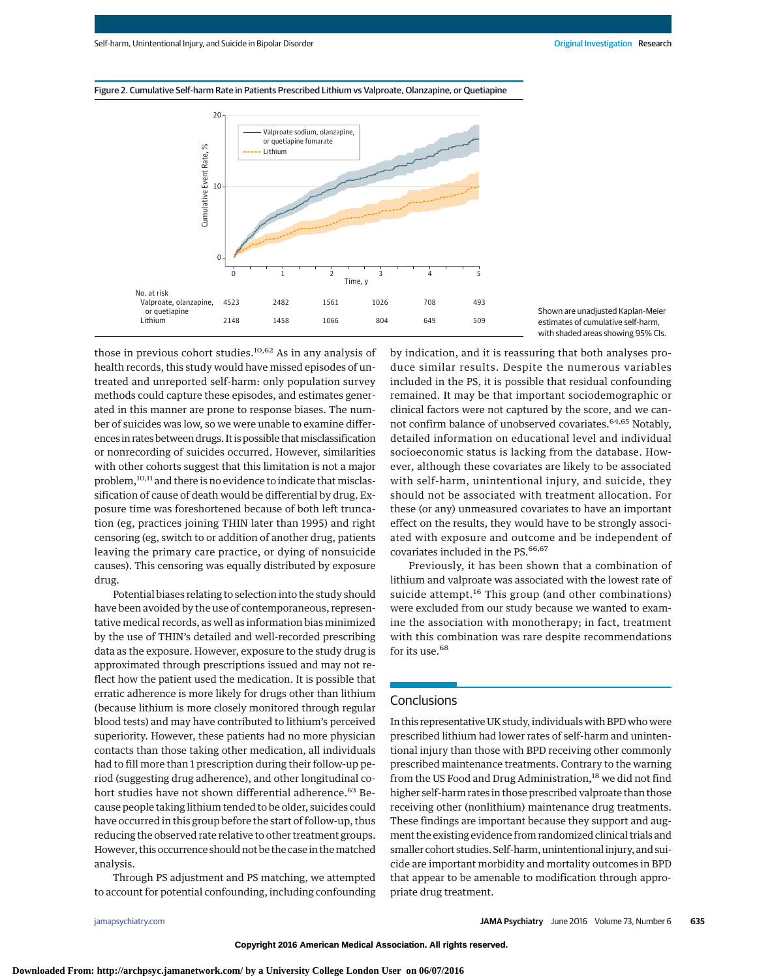Self-harm, Unintentional Injury, and Suicide in Bipolar Disorder **Community** Communication Research Original Investigation Research





Shown are unadjusted Kaplan-Meier estimates of cumulative self-harm, with shaded areas showing 95% CIs.

those in previous cohort studies.<sup>10,62</sup> As in any analysis of health records, this study would have missed episodes of untreated and unreported self-harm: only population survey methods could capture these episodes, and estimates generated in this manner are prone to response biases. The number of suicides was low, so we were unable to examine differences in rates between drugs. It is possible that misclassification or nonrecording of suicides occurred. However, similarities with other cohorts suggest that this limitation is not a major problem,<sup>10,11</sup> and there is no evidence to indicate that misclassification of cause of death would be differential by drug. Exposure time was foreshortened because of both left truncation (eg, practices joining THIN later than 1995) and right censoring (eg, switch to or addition of another drug, patients leaving the primary care practice, or dying of nonsuicide causes). This censoring was equally distributed by exposure drug.

Potential biases relating to selection into the study should have been avoided by the use of contemporaneous, representative medical records, as well as information bias minimized by the use of THIN's detailed and well-recorded prescribing data as the exposure. However, exposure to the study drug is approximated through prescriptions issued and may not reflect how the patient used the medication. It is possible that erratic adherence is more likely for drugs other than lithium (because lithium is more closely monitored through regular blood tests) and may have contributed to lithium's perceived superiority. However, these patients had no more physician contacts than those taking other medication, all individuals had to fill more than 1 prescription during their follow-up period (suggesting drug adherence), and other longitudinal cohort studies have not shown differential adherence.<sup>63</sup> Because people taking lithium tended to be older, suicides could have occurred in this group before the start of follow-up, thus reducing the observed rate relative to other treatment groups. However, this occurrence should not be the case in thematched analysis.

Through PS adjustment and PS matching, we attempted to account for potential confounding, including confounding duce similar results. Despite the numerous variables included in the PS, it is possible that residual confounding remained. It may be that important sociodemographic or clinical factors were not captured by the score, and we cannot confirm balance of unobserved covariates.<sup>64,65</sup> Notably, detailed information on educational level and individual socioeconomic status is lacking from the database. However, although these covariates are likely to be associated with self-harm, unintentional injury, and suicide, they should not be associated with treatment allocation. For these (or any) unmeasured covariates to have an important effect on the results, they would have to be strongly associated with exposure and outcome and be independent of covariates included in the PS.<sup>66,67</sup>

by indication, and it is reassuring that both analyses pro-

Previously, it has been shown that a combination of lithium and valproate was associated with the lowest rate of suicide attempt.<sup>16</sup> This group (and other combinations) were excluded from our study because we wanted to examine the association with monotherapy; in fact, treatment with this combination was rare despite recommendations for its use.<sup>68</sup>

# **Conclusions**

In this representative UK study, individuals with BPD who were prescribed lithium had lower rates of self-harm and unintentional injury than those with BPD receiving other commonly prescribed maintenance treatments. Contrary to the warning from the US Food and Drug Administration,<sup>18</sup> we did not find higher self-harm rates in those prescribed valproate than those receiving other (nonlithium) maintenance drug treatments. These findings are important because they support and augment the existing evidence from randomized clinical trials and smaller cohort studies. Self-harm, unintentional injury, and suicide are important morbidity and mortality outcomes in BPD that appear to be amenable to modification through appropriate drug treatment.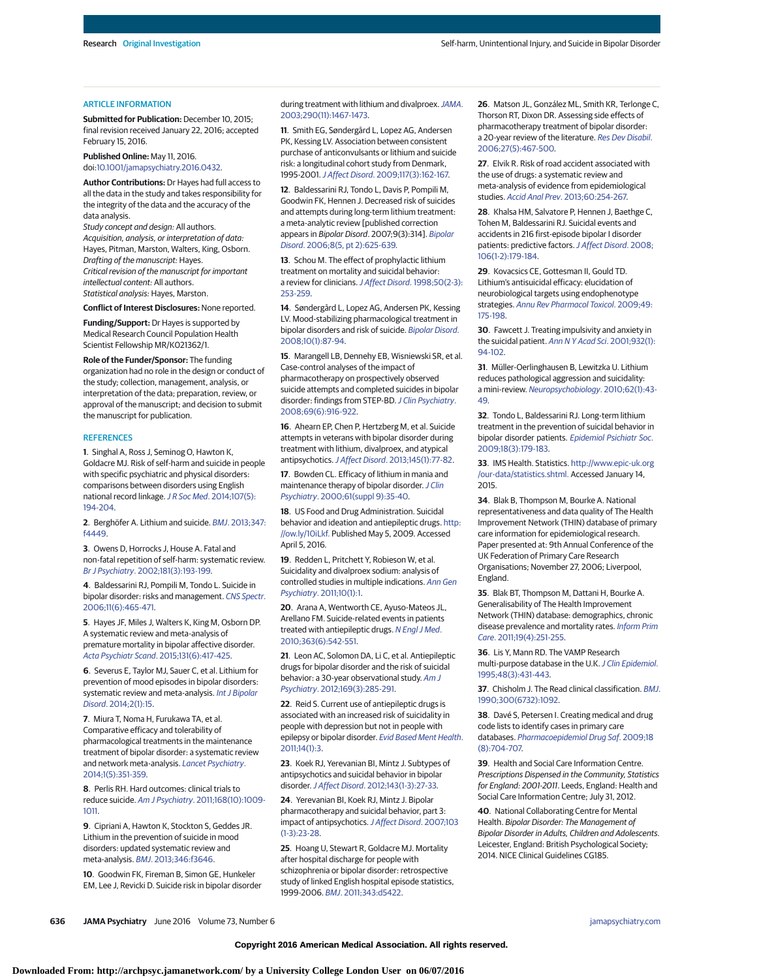#### ARTICLE INFORMATION

**Submitted for Publication:** December 10, 2015; final revision received January 22, 2016; accepted February 15, 2016.

#### **Published Online:** May 11, 2016. doi[:10.1001/jamapsychiatry.2016.0432.](http://jama.jamanetwork.com/article.aspx?doi=10.1001/jamapsychiatry.2016.0432&utm_campaign=articlePDF%26utm_medium=articlePDFlink%26utm_source=articlePDF%26utm_content=jamapsychiatry.2016.0432)

**Author Contributions:** Dr Hayes had full access to all the data in the study and takes responsibility for the integrity of the data and the accuracy of the data analysis.

Study concept and design: All authors. Acquisition, analysis, or interpretation of data: Hayes, Pitman, Marston, Walters, King, Osborn. Drafting of the manuscript: Hayes. Critical revision of the manuscript for important intellectual content: All authors. Statistical analysis: Hayes, Marston.

#### **Conflict of Interest Disclosures:** None reported.

**Funding/Support:** Dr Hayes is supported by Medical Research Council Population Health Scientist Fellowship MR/K021362/1.

**Role of the Funder/Sponsor:** The funding organization had no role in the design or conduct of the study; collection, management, analysis, or interpretation of the data; preparation, review, or approval of the manuscript; and decision to submit the manuscript for publication.

#### **REFERENCES**

**1**. Singhal A, Ross J, Seminog O, Hawton K, Goldacre MJ. Risk of self-harm and suicide in people with specific psychiatric and physical disorders: comparisons between disorders using English national record linkage. J R Soc Med[. 2014;107\(5\):](http://www.ncbi.nlm.nih.gov/pubmed/24526464) [194-204.](http://www.ncbi.nlm.nih.gov/pubmed/24526464)

**2**. Berghöfer A. Lithium and suicide. BMJ[. 2013;347:](http://www.ncbi.nlm.nih.gov/pubmed/23843554) [f4449.](http://www.ncbi.nlm.nih.gov/pubmed/23843554)

**3**. Owens D, Horrocks J, House A. Fatal and non-fatal repetition of self-harm: systematic review. Br J Psychiatry[. 2002;181\(3\):193-199.](http://www.ncbi.nlm.nih.gov/pubmed/12204922)

**4**. Baldessarini RJ, Pompili M, Tondo L. Suicide in bipolar disorder: risks and management. [CNS Spectr](http://www.ncbi.nlm.nih.gov/pubmed/16816785). [2006;11\(6\):465-471.](http://www.ncbi.nlm.nih.gov/pubmed/16816785)

**5**. Hayes JF, Miles J, Walters K, King M, Osborn DP. A systematic review and meta-analysis of premature mortality in bipolar affective disorder. Acta Psychiatr Scand[. 2015;131\(6\):417-425.](http://www.ncbi.nlm.nih.gov/pubmed/25735195)

**6**. Severus E, Taylor MJ, Sauer C, et al. Lithium for prevention of mood episodes in bipolar disorders: systematic review and meta-analysis. [Int J Bipolar](http://www.ncbi.nlm.nih.gov/pubmed/25530932) Disord[. 2014;2\(1\):15.](http://www.ncbi.nlm.nih.gov/pubmed/25530932)

**7**. Miura T, Noma H, Furukawa TA, et al. Comparative efficacy and tolerability of pharmacological treatments in the maintenance treatment of bipolar disorder: a systematic review and network meta-analysis. [Lancet Psychiatry](http://www.ncbi.nlm.nih.gov/pubmed/26360999). [2014;1\(5\):351-359.](http://www.ncbi.nlm.nih.gov/pubmed/26360999)

**8**. Perlis RH. Hard outcomes: clinical trials to reduce suicide. Am J Psychiatry[. 2011;168\(10\):1009-](http://www.ncbi.nlm.nih.gov/pubmed/21969041) [1011.](http://www.ncbi.nlm.nih.gov/pubmed/21969041)

**9**. Cipriani A, Hawton K, Stockton S, Geddes JR. Lithium in the prevention of suicide in mood disorders: updated systematic review and meta-analysis. BMJ[. 2013;346:f3646.](http://www.ncbi.nlm.nih.gov/pubmed/23814104)

**10**. Goodwin FK, Fireman B, Simon GE, Hunkeler EM, Lee J, Revicki D. Suicide risk in bipolar disorder during treatment with lithium and divalproex.[JAMA](http://www.ncbi.nlm.nih.gov/pubmed/13129986). [2003;290\(11\):1467-1473.](http://www.ncbi.nlm.nih.gov/pubmed/13129986)

**11**. Smith EG, Søndergård L, Lopez AG, Andersen PK, Kessing LV. Association between consistent purchase of anticonvulsants or lithium and suicide risk: a longitudinal cohort study from Denmark, 1995-2001.J Affect Disord[. 2009;117\(3\):162-167.](http://www.ncbi.nlm.nih.gov/pubmed/19243837)

**12**. Baldessarini RJ, Tondo L, Davis P, Pompili M, Goodwin FK, Hennen J. Decreased risk of suicides and attempts during long-term lithium treatment: a meta-analytic review [published correction appears in Bipolar Disord. 2007;9(3):314]. [Bipolar](http://www.ncbi.nlm.nih.gov/pubmed/17042835) Disord[. 2006;8\(5, pt 2\):625-639.](http://www.ncbi.nlm.nih.gov/pubmed/17042835)

**13**. Schou M. The effect of prophylactic lithium treatment on mortality and suicidal behavior: a review for clinicians. J Affect Disord[. 1998;50\(2-3\):](http://www.ncbi.nlm.nih.gov/pubmed/9858084) [253-259.](http://www.ncbi.nlm.nih.gov/pubmed/9858084)

**14**. Søndergård L, Lopez AG, Andersen PK, Kessing LV. Mood-stabilizing pharmacological treatment in bipolar disorders and risk of suicide. [Bipolar Disord](http://www.ncbi.nlm.nih.gov/pubmed/18199245). [2008;10\(1\):87-94.](http://www.ncbi.nlm.nih.gov/pubmed/18199245)

**15**. Marangell LB, Dennehy EB, Wisniewski SR, et al. Case-control analyses of the impact of pharmacotherapy on prospectively observed suicide attempts and completed suicides in bipolar disorder: findings from STEP-BD. [J Clin Psychiatry](http://www.ncbi.nlm.nih.gov/pubmed/18399724). [2008;69\(6\):916-922.](http://www.ncbi.nlm.nih.gov/pubmed/18399724)

**16**. Ahearn EP, Chen P, Hertzberg M, et al. Suicide attempts in veterans with bipolar disorder during treatment with lithium, divalproex, and atypical antipsychotics.J Affect Disord[. 2013;145\(1\):77-82.](http://www.ncbi.nlm.nih.gov/pubmed/22871534)

**17**. Bowden CL. Efficacy of lithium in mania and maintenance therapy of bipolar disorder. [J Clin](http://www.ncbi.nlm.nih.gov/pubmed/10826659) Psychiatry[. 2000;61\(suppl 9\):35-40.](http://www.ncbi.nlm.nih.gov/pubmed/10826659)

**18**. US Food and Drug Administration. Suicidal behavior and ideation and antiepileptic drugs. [http:](http://www.fda.gov/Drugs/DrugSafety/PostmarketDrugSafetyInformationforPatientsandProviders/ucm100190.htm) [//ow.ly/10iLkf.](http://www.fda.gov/Drugs/DrugSafety/PostmarketDrugSafetyInformationforPatientsandProviders/ucm100190.htm) Published May 5, 2009. Accessed April 5, 2016.

**19**. Redden L, Pritchett Y, Robieson W, et al. Suicidality and divalproex sodium: analysis of controlled studies in multiple indications. [Ann Gen](http://www.ncbi.nlm.nih.gov/pubmed/21244672) Psychiatry[. 2011;10\(1\):1.](http://www.ncbi.nlm.nih.gov/pubmed/21244672)

**20**. Arana A, Wentworth CE, Ayuso-Mateos JL, Arellano FM. Suicide-related events in patients treated with antiepileptic drugs. [N Engl J Med](http://www.ncbi.nlm.nih.gov/pubmed/20818889). [2010;363\(6\):542-551.](http://www.ncbi.nlm.nih.gov/pubmed/20818889)

**21**. Leon AC, Solomon DA, Li C, et al. Antiepileptic drugs for bipolar disorder and the risk of suicidal behavior: a 30-year observational study. [Am J](http://www.ncbi.nlm.nih.gov/pubmed/22193537) Psychiatry[. 2012;169\(3\):285-291.](http://www.ncbi.nlm.nih.gov/pubmed/22193537)

**22**. Reid S. Current use of antiepileptic drugs is associated with an increased risk of suicidality in people with depression but not in people with epilepsy or bipolar disorder. [Evid Based Ment Health](http://www.ncbi.nlm.nih.gov/pubmed/21266600). [2011;14\(1\):3.](http://www.ncbi.nlm.nih.gov/pubmed/21266600)

**23**. Koek RJ, Yerevanian BI, Mintz J. Subtypes of antipsychotics and suicidal behavior in bipolar disorder.J Affect Disord[. 2012;143\(1-3\):27-33.](http://www.ncbi.nlm.nih.gov/pubmed/22749157)

**24**. Yerevanian BI, Koek RJ, Mintz J. Bipolar pharmacotherapy and suicidal behavior, part 3: impact of antipsychotics.[J Affect Disord](http://www.ncbi.nlm.nih.gov/pubmed/17604119). 2007;103 [\(1-3\):23-28.](http://www.ncbi.nlm.nih.gov/pubmed/17604119)

**25**. Hoang U, Stewart R, Goldacre MJ. Mortality after hospital discharge for people with schizophrenia or bipolar disorder: retrospective study of linked English hospital episode statistics, 1999-2006. BMJ[. 2011;343:d5422.](http://www.ncbi.nlm.nih.gov/pubmed/21914766)

**26**. Matson JL, González ML, Smith KR, Terlonge C, Thorson RT, Dixon DR. Assessing side effects of pharmacotherapy treatment of bipolar disorder: a 20-year review of the literature. [Res Dev Disabil](http://www.ncbi.nlm.nih.gov/pubmed/16143494). [2006;27\(5\):467-500.](http://www.ncbi.nlm.nih.gov/pubmed/16143494)

**27**. Elvik R. Risk of road accident associated with the use of drugs: a systematic review and meta-analysis of evidence from epidemiological studies. Accid Anal Prev[. 2013;60:254-267.](http://www.ncbi.nlm.nih.gov/pubmed/22785089)

**28**. Khalsa HM, Salvatore P, Hennen J, Baethge C, Tohen M, Baldessarini RJ. Suicidal events and accidents in 216 first-episode bipolar I disorder patients: predictive factors. [J Affect Disord](http://www.ncbi.nlm.nih.gov/pubmed/17614135). 2008; [106\(1-2\):179-184.](http://www.ncbi.nlm.nih.gov/pubmed/17614135)

**29**. Kovacsics CE, Gottesman II, Gould TD. Lithium's antisuicidal efficacy: elucidation of neurobiological targets using endophenotype strategies. [Annu Rev Pharmacol Toxicol](http://www.ncbi.nlm.nih.gov/pubmed/18834309). 2009;49: [175-198.](http://www.ncbi.nlm.nih.gov/pubmed/18834309)

**30**. Fawcett J. Treating impulsivity and anxiety in the suicidal patient. [Ann N Y Acad Sci](http://www.ncbi.nlm.nih.gov/pubmed/11411193). 2001;932(1): [94-102.](http://www.ncbi.nlm.nih.gov/pubmed/11411193)

**31**. Müller-Oerlinghausen B, Lewitzka U. Lithium reduces pathological aggression and suicidality: a mini-review. [Neuropsychobiology](http://www.ncbi.nlm.nih.gov/pubmed/20453534). 2010;62(1):43- [49.](http://www.ncbi.nlm.nih.gov/pubmed/20453534)

**32**. Tondo L, Baldessarini RJ. Long-term lithium treatment in the prevention of suicidal behavior in bipolar disorder patients. [Epidemiol Psichiatr Soc](http://www.ncbi.nlm.nih.gov/pubmed/20034193). [2009;18\(3\):179-183.](http://www.ncbi.nlm.nih.gov/pubmed/20034193)

**33**. IMS Health. Statistics. [http://www.epic-uk.org](http://www.epic-uk.org/our-data/statistics.shtml) [/our-data/statistics.shtml.](http://www.epic-uk.org/our-data/statistics.shtml) Accessed January 14, 2015.

**34**. Blak B, Thompson M, Bourke A. National representativeness and data quality of The Health Improvement Network (THIN) database of primary care information for epidemiological research. Paper presented at: 9th Annual Conference of the UK Federation of Primary Care Research Organisations; November 27, 2006; Liverpool, England.

**35**. Blak BT, Thompson M, Dattani H, Bourke A. Generalisability of The Health Improvement Network (THIN) database: demographics, chronic disease prevalence and mortality rates. [Inform Prim](http://www.ncbi.nlm.nih.gov/pubmed/22828580) Care[. 2011;19\(4\):251-255.](http://www.ncbi.nlm.nih.gov/pubmed/22828580)

**36**. Lis Y, Mann RD. The VAMP Research multi-purpose database in the U.K. [J Clin Epidemiol](http://www.ncbi.nlm.nih.gov/pubmed/7897464). [1995;48\(3\):431-443.](http://www.ncbi.nlm.nih.gov/pubmed/7897464)

**37**. Chisholm J. The Read clinical classification. [BMJ](http://www.ncbi.nlm.nih.gov/pubmed/2344534). [1990;300\(6732\):1092.](http://www.ncbi.nlm.nih.gov/pubmed/2344534)

**38**. Davé S, Petersen I. Creating medical and drug code lists to identify cases in primary care databases. [Pharmacoepidemiol Drug Saf](http://www.ncbi.nlm.nih.gov/pubmed/19455565). 2009;18 [\(8\):704-707.](http://www.ncbi.nlm.nih.gov/pubmed/19455565)

**39**. Health and Social Care Information Centre. Prescriptions Dispensed in the Community, Statistics for England: 2001-2011. Leeds, England: Health and Social Care Information Centre; July 31, 2012.

**40**. National Collaborating Centre for Mental Health. Bipolar Disorder: The Management of Bipolar Disorder in Adults, Children and Adolescents. Leicester, England: British Psychological Society; 2014. NICE Clinical Guidelines CG185.